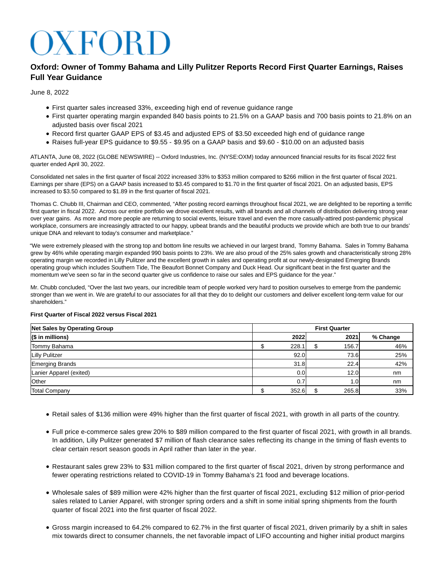# $XFOR$

# **Oxford: Owner of Tommy Bahama and Lilly Pulitzer Reports Record First Quarter Earnings, Raises Full Year Guidance**

June 8, 2022

- First quarter sales increased 33%, exceeding high end of revenue guidance range
- First quarter operating margin expanded 840 basis points to 21.5% on a GAAP basis and 700 basis points to 21.8% on an adiusted basis over fiscal 2021
- Record first quarter GAAP EPS of \$3.45 and adjusted EPS of \$3.50 exceeded high end of guidance range
- Raises full-year EPS guidance to \$9.55 \$9.95 on a GAAP basis and \$9.60 \$10.00 on an adjusted basis

ATLANTA, June 08, 2022 (GLOBE NEWSWIRE) -- Oxford Industries, Inc. (NYSE:OXM) today announced financial results for its fiscal 2022 first quarter ended April 30, 2022.

Consolidated net sales in the first quarter of fiscal 2022 increased 33% to \$353 million compared to \$266 million in the first quarter of fiscal 2021. Earnings per share (EPS) on a GAAP basis increased to \$3.45 compared to \$1.70 in the first quarter of fiscal 2021. On an adjusted basis, EPS increased to \$3.50 compared to \$1.89 in the first quarter of fiscal 2021.

Thomas C. Chubb III, Chairman and CEO, commented, "After posting record earnings throughout fiscal 2021, we are delighted to be reporting a terrific first quarter in fiscal 2022. Across our entire portfolio we drove excellent results, with all brands and all channels of distribution delivering strong year over year gains. As more and more people are returning to social events, leisure travel and even the more casually-attired post-pandemic physical workplace, consumers are increasingly attracted to our happy, upbeat brands and the beautiful products we provide which are both true to our brands' unique DNA and relevant to today's consumer and marketplace."

"We were extremely pleased with the strong top and bottom line results we achieved in our largest brand, Tommy Bahama. Sales in Tommy Bahama grew by 46% while operating margin expanded 990 basis points to 23%. We are also proud of the 25% sales growth and characteristically strong 28% operating margin we recorded in Lilly Pulitzer and the excellent growth in sales and operating profit at our newly-designated Emerging Brands operating group which includes Southern Tide, The Beaufort Bonnet Company and Duck Head. Our significant beat in the first quarter and the momentum we've seen so far in the second quarter give us confidence to raise our sales and EPS guidance for the year."

Mr. Chubb concluded, "Over the last two years, our incredible team of people worked very hard to position ourselves to emerge from the pandemic stronger than we went in. We are grateful to our associates for all that they do to delight our customers and deliver excellent long-term value for our shareholders."

## **First Quarter of Fiscal 2022 versus Fiscal 2021**

| <b>Net Sales by Operating Group</b> | <b>First Quarter</b> |       |  |       |          |
|-------------------------------------|----------------------|-------|--|-------|----------|
| $($ $$$ in millions)                |                      | 2022  |  | 2021  | % Change |
| Tommy Bahama                        |                      | 228.1 |  | 156.7 | 46%      |
| <b>Lilly Pulitzer</b>               |                      | 92.0  |  | 73.6  | 25%      |
| <b>Emerging Brands</b>              |                      | 31.8  |  | 22.4  | 42%      |
| Lanier Apparel (exited)             |                      | 0.0   |  | 12.0  | nm       |
| Other                               |                      | 0.7   |  | 0۱. ا | nm       |
| <b>Total Company</b>                |                      | 352.6 |  | 265.8 | 33%      |

- Retail sales of \$136 million were 49% higher than the first quarter of fiscal 2021, with growth in all parts of the country.
- Full price e-commerce sales grew 20% to \$89 million compared to the first quarter of fiscal 2021, with growth in all brands. In addition, Lilly Pulitzer generated \$7 million of flash clearance sales reflecting its change in the timing of flash events to clear certain resort season goods in April rather than later in the year.
- Restaurant sales grew 23% to \$31 million compared to the first quarter of fiscal 2021, driven by strong performance and fewer operating restrictions related to COVID-19 in Tommy Bahama's 21 food and beverage locations.
- Wholesale sales of \$89 million were 42% higher than the first quarter of fiscal 2021, excluding \$12 million of prior-period sales related to Lanier Apparel, with stronger spring orders and a shift in some initial spring shipments from the fourth quarter of fiscal 2021 into the first quarter of fiscal 2022.
- Gross margin increased to 64.2% compared to 62.7% in the first quarter of fiscal 2021, driven primarily by a shift in sales mix towards direct to consumer channels, the net favorable impact of LIFO accounting and higher initial product margins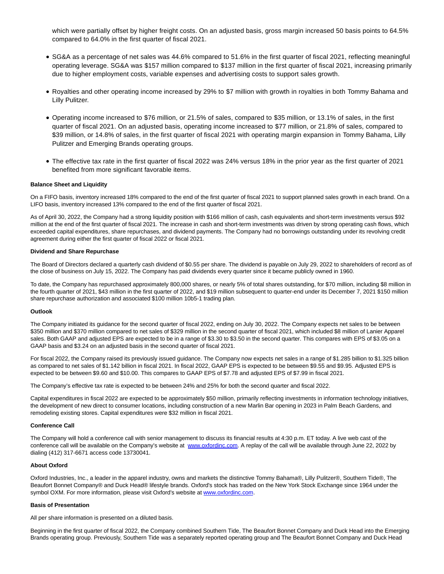which were partially offset by higher freight costs. On an adjusted basis, gross margin increased 50 basis points to 64.5% compared to 64.0% in the first quarter of fiscal 2021.

- SG&A as a percentage of net sales was 44.6% compared to 51.6% in the first quarter of fiscal 2021, reflecting meaningful operating leverage. SG&A was \$157 million compared to \$137 million in the first quarter of fiscal 2021, increasing primarily due to higher employment costs, variable expenses and advertising costs to support sales growth.
- Royalties and other operating income increased by 29% to \$7 million with growth in royalties in both Tommy Bahama and Lilly Pulitzer.
- Operating income increased to \$76 million, or 21.5% of sales, compared to \$35 million, or 13.1% of sales, in the first quarter of fiscal 2021. On an adjusted basis, operating income increased to \$77 million, or 21.8% of sales, compared to \$39 million, or 14.8% of sales, in the first quarter of fiscal 2021 with operating margin expansion in Tommy Bahama, Lilly Pulitzer and Emerging Brands operating groups.
- The effective tax rate in the first quarter of fiscal 2022 was 24% versus 18% in the prior year as the first quarter of 2021 benefited from more significant favorable items.

#### **Balance Sheet and Liquidity**

On a FIFO basis, inventory increased 18% compared to the end of the first quarter of fiscal 2021 to support planned sales growth in each brand. On a LIFO basis, inventory increased 13% compared to the end of the first quarter of fiscal 2021.

As of April 30, 2022, the Company had a strong liquidity position with \$166 million of cash, cash equivalents and short-term investments versus \$92 million at the end of the first quarter of fiscal 2021. The increase in cash and short-term investments was driven by strong operating cash flows, which exceeded capital expenditures, share repurchases, and dividend payments. The Company had no borrowings outstanding under its revolving credit agreement during either the first quarter of fiscal 2022 or fiscal 2021.

#### **Dividend and Share Repurchase**

The Board of Directors declared a quarterly cash dividend of \$0.55 per share. The dividend is payable on July 29, 2022 to shareholders of record as of the close of business on July 15, 2022. The Company has paid dividends every quarter since it became publicly owned in 1960.

To date, the Company has repurchased approximately 800,000 shares, or nearly 5% of total shares outstanding, for \$70 million, including \$8 million in the fourth quarter of 2021, \$43 million in the first quarter of 2022, and \$19 million subsequent to quarter-end under its December 7, 2021 \$150 million share repurchase authorization and associated \$100 million 10b5-1 trading plan.

#### **Outlook**

The Company initiated its guidance for the second quarter of fiscal 2022, ending on July 30, 2022. The Company expects net sales to be between \$350 million and \$370 million compared to net sales of \$329 million in the second quarter of fiscal 2021, which included \$8 million of Lanier Apparel sales. Both GAAP and adjusted EPS are expected to be in a range of \$3.30 to \$3.50 in the second quarter. This compares with EPS of \$3.05 on a GAAP basis and \$3.24 on an adjusted basis in the second quarter of fiscal 2021.

For fiscal 2022, the Company raised its previously issued guidance. The Company now expects net sales in a range of \$1.285 billion to \$1.325 billion as compared to net sales of \$1.142 billion in fiscal 2021. In fiscal 2022, GAAP EPS is expected to be between \$9.55 and \$9.95. Adjusted EPS is expected to be between \$9.60 and \$10.00. This compares to GAAP EPS of \$7.78 and adjusted EPS of \$7.99 in fiscal 2021.

The Company's effective tax rate is expected to be between 24% and 25% for both the second quarter and fiscal 2022.

Capital expenditures in fiscal 2022 are expected to be approximately \$50 million, primarily reflecting investments in information technology initiatives, the development of new direct to consumer locations, including construction of a new Marlin Bar opening in 2023 in Palm Beach Gardens, and remodeling existing stores. Capital expenditures were \$32 million in fiscal 2021.

## **Conference Call**

The Company will hold a conference call with senior management to discuss its financial results at 4:30 p.m. ET today. A live web cast of the conference call will be available on the Company's website at [www.oxfordinc.com.](https://www.globenewswire.com/Tracker?data=aEa8N1xKEK7VHqmte0ySqEDK86P5BBxMAaGOk6PsPCvUNoHKJPutXRw_77evm7ofFt9ykjhdDj9YSw7_9M3yhQ==) A replay of the call will be available through June 22, 2022 by dialing (412) 317-6671 access code 13730041.

## **About Oxford**

Oxford Industries, Inc., a leader in the apparel industry, owns and markets the distinctive Tommy Bahama®, Lilly Pulitzer®, Southern Tide®, The Beaufort Bonnet Company® and Duck Head® lifestyle brands. Oxford's stock has traded on the New York Stock Exchange since 1964 under the symbol OXM. For more information, please visit Oxford's website a[t www.oxfordinc.com.](https://www.globenewswire.com/Tracker?data=aEa8N1xKEK7VHqmte0ySqEV--S--La7jhykj0RtqYBg6MSS6VZ0Fa90mzThQr9gP8m4n7xz08sOzSpfN1juNjg==)

#### **Basis of Presentation**

All per share information is presented on a diluted basis.

Beginning in the first quarter of fiscal 2022, the Company combined Southern Tide, The Beaufort Bonnet Company and Duck Head into the Emerging Brands operating group. Previously, Southern Tide was a separately reported operating group and The Beaufort Bonnet Company and Duck Head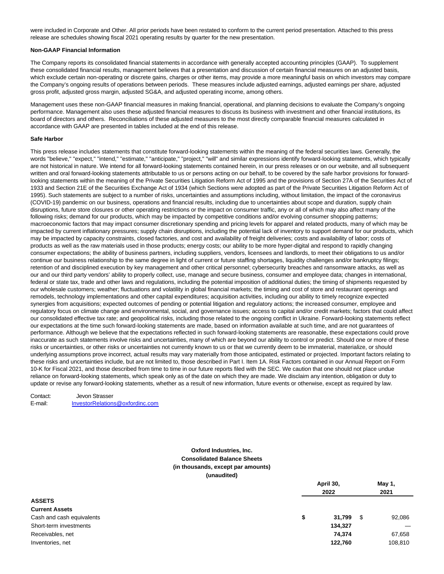were included in Corporate and Other. All prior periods have been restated to conform to the current period presentation. Attached to this press release are schedules showing fiscal 2021 operating results by quarter for the new presentation.

#### **Non-GAAP Financial Information**

The Company reports its consolidated financial statements in accordance with generally accepted accounting principles (GAAP). To supplement these consolidated financial results, management believes that a presentation and discussion of certain financial measures on an adjusted basis, which exclude certain non-operating or discrete gains, charges or other items, may provide a more meaningful basis on which investors may compare the Company's ongoing results of operations between periods. These measures include adjusted earnings, adjusted earnings per share, adjusted gross profit, adjusted gross margin, adjusted SG&A, and adjusted operating income, among others.

Management uses these non-GAAP financial measures in making financial, operational, and planning decisions to evaluate the Company's ongoing performance. Management also uses these adjusted financial measures to discuss its business with investment and other financial institutions, its board of directors and others. Reconciliations of these adjusted measures to the most directly comparable financial measures calculated in accordance with GAAP are presented in tables included at the end of this release.

#### **Safe Harbor**

This press release includes statements that constitute forward-looking statements within the meaning of the federal securities laws. Generally, the words "believe," "expect," "intend," "estimate," "anticipate," "project," "will" and similar expressions identify forward-looking statements, which typically are not historical in nature. We intend for all forward-looking statements contained herein, in our press releases or on our website, and all subsequent written and oral forward-looking statements attributable to us or persons acting on our behalf, to be covered by the safe harbor provisions for forwardlooking statements within the meaning of the Private Securities Litigation Reform Act of 1995 and the provisions of Section 27A of the Securities Act of 1933 and Section 21E of the Securities Exchange Act of 1934 (which Sections were adopted as part of the Private Securities Litigation Reform Act of 1995). Such statements are subject to a number of risks, uncertainties and assumptions including, without limitation, the impact of the coronavirus (COVID-19) pandemic on our business, operations and financial results, including due to uncertainties about scope and duration, supply chain disruptions, future store closures or other operating restrictions or the impact on consumer traffic, any or all of which may also affect many of the following risks; demand for our products, which may be impacted by competitive conditions and/or evolving consumer shopping patterns; macroeconomic factors that may impact consumer discretionary spending and pricing levels for apparel and related products, many of which may be impacted by current inflationary pressures; supply chain disruptions, including the potential lack of inventory to support demand for our products, which may be impacted by capacity constraints, closed factories, and cost and availability of freight deliveries; costs and availability of labor; costs of products as well as the raw materials used in those products; energy costs; our ability to be more hyper-digital and respond to rapidly changing consumer expectations; the ability of business partners, including suppliers, vendors, licensees and landlords, to meet their obligations to us and/or continue our business relationship to the same degree in light of current or future staffing shortages, liquidity challenges and/or bankruptcy filings; retention of and disciplined execution by key management and other critical personnel; cybersecurity breaches and ransomware attacks, as well as our and our third party vendors' ability to properly collect, use, manage and secure business, consumer and employee data; changes in international, federal or state tax, trade and other laws and regulations, including the potential imposition of additional duties; the timing of shipments requested by our wholesale customers; weather; fluctuations and volatility in global financial markets; the timing and cost of store and restaurant openings and remodels, technology implementations and other capital expenditures; acquisition activities, including our ability to timely recognize expected synergies from acquisitions; expected outcomes of pending or potential litigation and regulatory actions; the increased consumer, employee and regulatory focus on climate change and environmental, social, and governance issues; access to capital and/or credit markets; factors that could affect our consolidated effective tax rate; and geopolitical risks, including those related to the ongoing conflict in Ukraine. Forward-looking statements reflect our expectations at the time such forward-looking statements are made, based on information available at such time, and are not guarantees of performance. Although we believe that the expectations reflected in such forward-looking statements are reasonable, these expectations could prove inaccurate as such statements involve risks and uncertainties, many of which are beyond our ability to control or predict. Should one or more of these risks or uncertainties, or other risks or uncertainties not currently known to us or that we currently deem to be immaterial, materialize, or should underlying assumptions prove incorrect, actual results may vary materially from those anticipated, estimated or projected. Important factors relating to these risks and uncertainties include, but are not limited to, those described in Part I. Item 1A. Risk Factors contained in our Annual Report on Form 10-K for Fiscal 2021, and those described from time to time in our future reports filed with the SEC. We caution that one should not place undue reliance on forward-looking statements, which speak only as of the date on which they are made. We disclaim any intention, obligation or duty to update or revise any forward-looking statements, whether as a result of new information, future events or otherwise, except as required by law.

Contact: Jevon Strasser E-mail: InvestorRelations@oxfordinc.com

## **Oxford Industries, Inc. Consolidated Balance Sheets (in thousands, except par amounts) (unaudited)**

|                           | April 30, |         |      | May 1,  |
|---------------------------|-----------|---------|------|---------|
|                           |           | 2022    |      | 2021    |
| <b>ASSETS</b>             |           |         |      |         |
| <b>Current Assets</b>     |           |         |      |         |
| Cash and cash equivalents | \$        | 31,799  | - \$ | 92,086  |
| Short-term investments    |           | 134,327 |      |         |
| Receivables, net          |           | 74,374  |      | 67,658  |
| Inventories, net          |           | 122,760 |      | 108,810 |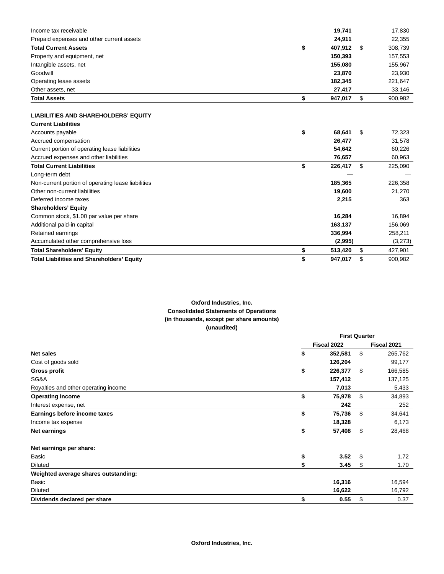| Income tax receivable                              | 19,741        | 17,830        |
|----------------------------------------------------|---------------|---------------|
| Prepaid expenses and other current assets          | 24,911        | 22,355        |
| <b>Total Current Assets</b>                        | \$<br>407,912 | \$<br>308,739 |
| Property and equipment, net                        | 150,393       | 157,553       |
| Intangible assets, net                             | 155,080       | 155,967       |
| Goodwill                                           | 23,870        | 23,930        |
| Operating lease assets                             | 182,345       | 221,647       |
| Other assets, net                                  | 27,417        | 33,146        |
| <b>Total Assets</b>                                | \$<br>947,017 | \$<br>900,982 |
| <b>LIABILITIES AND SHAREHOLDERS' EQUITY</b>        |               |               |
| <b>Current Liabilities</b>                         |               |               |
| Accounts payable                                   | \$<br>68.641  | \$<br>72,323  |
| Accrued compensation                               | 26,477        | 31,578        |
| Current portion of operating lease liabilities     | 54,642        | 60,226        |
| Accrued expenses and other liabilities             | 76,657        | 60,963        |
| <b>Total Current Liabilities</b>                   | \$<br>226,417 | \$<br>225,090 |
| Long-term debt                                     |               |               |
| Non-current portion of operating lease liabilities | 185,365       | 226,358       |
| Other non-current liabilities                      | 19,600        | 21,270        |
| Deferred income taxes                              | 2,215         | 363           |
| <b>Shareholders' Equity</b>                        |               |               |
| Common stock, \$1.00 par value per share           | 16,284        | 16,894        |
| Additional paid-in capital                         | 163,137       | 156,069       |
| Retained earnings                                  | 336,994       | 258,211       |
| Accumulated other comprehensive loss               | (2,995)       | (3,273)       |
| <b>Total Shareholders' Equity</b>                  | \$<br>513,420 | \$<br>427,901 |
| <b>Total Liabilities and Shareholders' Equity</b>  | \$<br>947,017 | \$<br>900.982 |

# **Oxford Industries, Inc. Consolidated Statements of Operations (in thousands, except per share amounts) (unaudited)**

|                                      |             |         | <b>First Quarter</b> |             |  |
|--------------------------------------|-------------|---------|----------------------|-------------|--|
|                                      | Fiscal 2022 |         |                      | Fiscal 2021 |  |
| <b>Net sales</b>                     | \$          | 352,581 |                      | 265,762     |  |
| Cost of goods sold                   |             | 126,204 |                      | 99,177      |  |
| <b>Gross profit</b>                  | \$          | 226,377 | \$                   | 166,585     |  |
| SG&A                                 |             | 157,412 |                      | 137,125     |  |
| Royalties and other operating income |             | 7,013   |                      | 5,433       |  |
| <b>Operating income</b>              | \$          | 75,978  | \$                   | 34,893      |  |
| Interest expense, net                |             | 242     |                      | 252         |  |
| Earnings before income taxes         | \$          | 75,736  | \$                   | 34,641      |  |
| Income tax expense                   |             | 18,328  |                      | 6,173       |  |
| Net earnings                         | \$          | 57,408  | \$                   | 28,468      |  |
| Net earnings per share:              |             |         |                      |             |  |
| Basic                                | \$          | 3.52    | \$                   | 1.72        |  |
| <b>Diluted</b>                       |             | 3.45    | \$                   | 1.70        |  |
| Weighted average shares outstanding: |             |         |                      |             |  |
| Basic                                |             | 16,316  |                      | 16,594      |  |
| <b>Diluted</b>                       |             | 16,622  |                      | 16,792      |  |
| Dividends declared per share         | \$          | 0.55    | \$                   | 0.37        |  |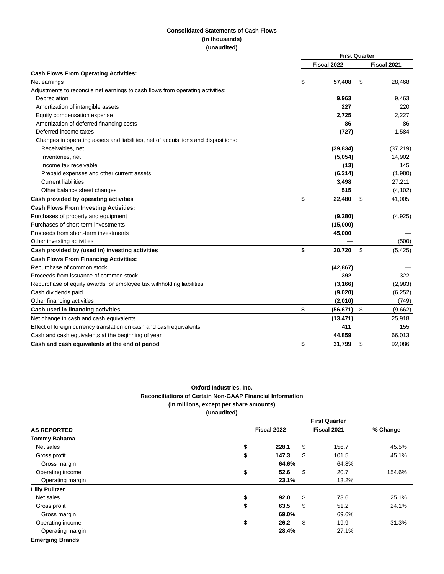## **Consolidated Statements of Cash Flows (in thousands) (unaudited)**

|                                                                                    |    | <b>First Quarter</b> |    |             |
|------------------------------------------------------------------------------------|----|----------------------|----|-------------|
|                                                                                    |    | Fiscal 2022          |    | Fiscal 2021 |
| <b>Cash Flows From Operating Activities:</b>                                       |    |                      |    |             |
| Net earnings                                                                       | \$ | 57,408               | S  | 28,468      |
| Adjustments to reconcile net earnings to cash flows from operating activities:     |    |                      |    |             |
| Depreciation                                                                       |    | 9,963                |    | 9,463       |
| Amortization of intangible assets                                                  |    | 227                  |    | 220         |
| Equity compensation expense                                                        |    | 2,725                |    | 2,227       |
| Amortization of deferred financing costs                                           |    | 86                   |    | 86          |
| Deferred income taxes                                                              |    | (727)                |    | 1,584       |
| Changes in operating assets and liabilities, net of acquisitions and dispositions: |    |                      |    |             |
| Receivables, net                                                                   |    | (39, 834)            |    | (37, 219)   |
| Inventories, net                                                                   |    | (5,054)              |    | 14,902      |
| Income tax receivable                                                              |    | (13)                 |    | 145         |
| Prepaid expenses and other current assets                                          |    | (6, 314)             |    | (1,980)     |
| <b>Current liabilities</b>                                                         |    | 3,498                |    | 27,211      |
| Other balance sheet changes                                                        |    | 515                  |    | (4, 102)    |
| Cash provided by operating activities                                              | \$ | 22,480               | \$ | 41,005      |
| <b>Cash Flows From Investing Activities:</b>                                       |    |                      |    |             |
| Purchases of property and equipment                                                |    | (9,280)              |    | (4,925)     |
| Purchases of short-term investments                                                |    | (15,000)             |    |             |
| Proceeds from short-term investments                                               |    | 45,000               |    |             |
| Other investing activities                                                         |    |                      |    | (500)       |
| Cash provided by (used in) investing activities                                    | \$ | 20,720               | \$ | (5, 425)    |
| <b>Cash Flows From Financing Activities:</b>                                       |    |                      |    |             |
| Repurchase of common stock                                                         |    | (42, 867)            |    |             |
| Proceeds from issuance of common stock                                             |    | 392                  |    | 322         |
| Repurchase of equity awards for employee tax withholding liabilities               |    | (3, 166)             |    | (2,983)     |
| Cash dividends paid                                                                |    | (9,020)              |    | (6, 252)    |
| Other financing activities                                                         |    | (2,010)              |    | (749)       |
| Cash used in financing activities                                                  | \$ | (56, 671)            | \$ | (9,662)     |
| Net change in cash and cash equivalents                                            |    | (13, 471)            |    | 25,918      |
| Effect of foreign currency translation on cash and cash equivalents                |    | 411                  |    | 155         |
| Cash and cash equivalents at the beginning of year                                 |    | 44,859               |    | 66,013      |
| Cash and cash equivalents at the end of period                                     | \$ | 31,799               | \$ | 92,086      |

# **Oxford Industries, Inc. Reconciliations of Certain Non-GAAP Financial Information (in millions, except per share amounts) (unaudited)**

|                       | <b>First Quarter</b> |             |          |  |  |  |  |  |  |
|-----------------------|----------------------|-------------|----------|--|--|--|--|--|--|
| <b>AS REPORTED</b>    | Fiscal 2022          | Fiscal 2021 | % Change |  |  |  |  |  |  |
| <b>Tommy Bahama</b>   |                      |             |          |  |  |  |  |  |  |
| Net sales             | \$<br>\$<br>228.1    | 156.7       | 45.5%    |  |  |  |  |  |  |
| Gross profit          | \$<br>147.3<br>\$    | 101.5       | 45.1%    |  |  |  |  |  |  |
| Gross margin          | 64.6%                | 64.8%       |          |  |  |  |  |  |  |
| Operating income      | \$<br>\$<br>52.6     | 20.7        | 154.6%   |  |  |  |  |  |  |
| Operating margin      | 23.1%                | 13.2%       |          |  |  |  |  |  |  |
| <b>Lilly Pulitzer</b> |                      |             |          |  |  |  |  |  |  |
| Net sales             | \$<br>\$<br>92.0     | 73.6        | 25.1%    |  |  |  |  |  |  |
| Gross profit          | \$<br>\$<br>63.5     | 51.2        | 24.1%    |  |  |  |  |  |  |
| Gross margin          | 69.0%                | 69.6%       |          |  |  |  |  |  |  |
| Operating income      | \$<br>\$<br>26.2     | 19.9        | 31.3%    |  |  |  |  |  |  |
| Operating margin      | 28.4%                | 27.1%       |          |  |  |  |  |  |  |

**Emerging Brands**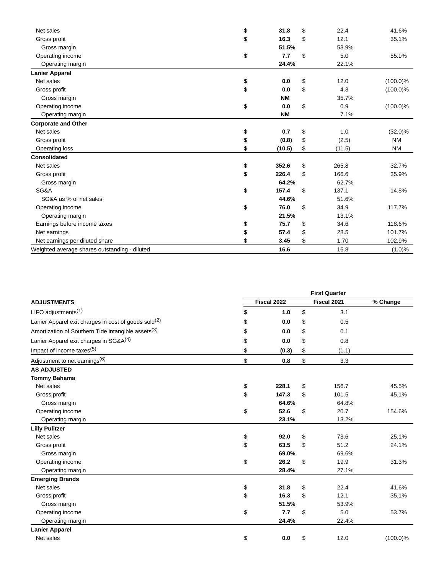| Net sales                                     | \$<br>31.8   | \$<br>22.4   | 41.6%       |
|-----------------------------------------------|--------------|--------------|-------------|
| Gross profit                                  | \$<br>16.3   | \$<br>12.1   | 35.1%       |
| Gross margin                                  | 51.5%        | 53.9%        |             |
| Operating income                              | \$<br>7.7    | \$<br>5.0    | 55.9%       |
| Operating margin                              | 24.4%        | 22.1%        |             |
| <b>Lanier Apparel</b>                         |              |              |             |
| Net sales                                     | \$<br>0.0    | \$<br>12.0   | $(100.0)\%$ |
| Gross profit                                  | \$<br>0.0    | \$<br>4.3    | $(100.0)\%$ |
| Gross margin                                  | <b>NM</b>    | 35.7%        |             |
| Operating income                              | \$<br>0.0    | \$<br>0.9    | $(100.0)\%$ |
| Operating margin                              | <b>NM</b>    | 7.1%         |             |
| <b>Corporate and Other</b>                    |              |              |             |
| Net sales                                     | \$<br>0.7    | \$<br>1.0    | $(32.0)\%$  |
| Gross profit                                  | \$<br>(0.8)  | \$<br>(2.5)  | <b>NM</b>   |
| Operating loss                                | \$<br>(10.5) | \$<br>(11.5) | <b>NM</b>   |
| <b>Consolidated</b>                           |              |              |             |
| Net sales                                     | \$<br>352.6  | \$<br>265.8  | 32.7%       |
| Gross profit                                  | \$<br>226.4  | \$<br>166.6  | 35.9%       |
| Gross margin                                  | 64.2%        | 62.7%        |             |
| SG&A                                          | \$<br>157.4  | \$<br>137.1  | 14.8%       |
| SG&A as % of net sales                        | 44.6%        | 51.6%        |             |
| Operating income                              | \$<br>76.0   | \$<br>34.9   | 117.7%      |
| Operating margin                              | 21.5%        | 13.1%        |             |
| Earnings before income taxes                  | \$<br>75.7   | \$<br>34.6   | 118.6%      |
| Net earnings                                  | \$<br>57.4   | \$<br>28.5   | 101.7%      |
| Net earnings per diluted share                | \$<br>3.45   | \$<br>1.70   | 102.9%      |
| Weighted average shares outstanding - diluted | 16.6         | 16.8         | (1.0)%      |

|                                                                  | <b>First Quarter</b> |             |    |       |             |  |  |  |  |
|------------------------------------------------------------------|----------------------|-------------|----|-------|-------------|--|--|--|--|
| <b>ADJUSTMENTS</b>                                               |                      | Fiscal 2022 |    |       | % Change    |  |  |  |  |
| LIFO adjustments <sup>(1)</sup>                                  | \$                   | 1.0         | \$ | 3.1   |             |  |  |  |  |
| Lanier Apparel exit charges in cost of goods sold <sup>(2)</sup> | \$                   | 0.0         | \$ | 0.5   |             |  |  |  |  |
| Amortization of Southern Tide intangible assets <sup>(3)</sup>   | \$                   | 0.0         | \$ | 0.1   |             |  |  |  |  |
| Lanier Apparel exit charges in SG&A <sup>(4)</sup>               | \$                   | 0.0         | \$ | 0.8   |             |  |  |  |  |
| Impact of income taxes <sup>(5)</sup>                            | \$                   | (0.3)       | \$ | (1.1) |             |  |  |  |  |
| Adjustment to net earnings <sup>(6)</sup>                        | \$                   | 0.8         | \$ | 3.3   |             |  |  |  |  |
| <b>AS ADJUSTED</b>                                               |                      |             |    |       |             |  |  |  |  |
| <b>Tommy Bahama</b>                                              |                      |             |    |       |             |  |  |  |  |
| Net sales                                                        | \$                   | 228.1       | \$ | 156.7 | 45.5%       |  |  |  |  |
| Gross profit                                                     | \$                   | 147.3       | \$ | 101.5 | 45.1%       |  |  |  |  |
| Gross margin                                                     |                      | 64.6%       |    | 64.8% |             |  |  |  |  |
| Operating income                                                 | \$                   | 52.6        | \$ | 20.7  | 154.6%      |  |  |  |  |
| Operating margin                                                 |                      | 23.1%       |    | 13.2% |             |  |  |  |  |
| <b>Lilly Pulitzer</b>                                            |                      |             |    |       |             |  |  |  |  |
| Net sales                                                        | \$                   | 92.0        | \$ | 73.6  | 25.1%       |  |  |  |  |
| Gross profit                                                     | \$                   | 63.5        | \$ | 51.2  | 24.1%       |  |  |  |  |
| Gross margin                                                     |                      | 69.0%       |    | 69.6% |             |  |  |  |  |
| Operating income                                                 | \$                   | 26.2        | \$ | 19.9  | 31.3%       |  |  |  |  |
| Operating margin                                                 |                      | 28.4%       |    | 27.1% |             |  |  |  |  |
| <b>Emerging Brands</b>                                           |                      |             |    |       |             |  |  |  |  |
| Net sales                                                        | \$                   | 31.8        | \$ | 22.4  | 41.6%       |  |  |  |  |
| Gross profit                                                     | \$                   | 16.3        | \$ | 12.1  | 35.1%       |  |  |  |  |
| Gross margin                                                     |                      | 51.5%       |    | 53.9% |             |  |  |  |  |
| Operating income                                                 | \$                   | 7.7         | \$ | 5.0   | 53.7%       |  |  |  |  |
| Operating margin                                                 |                      | 24.4%       |    | 22.4% |             |  |  |  |  |
| <b>Lanier Apparel</b>                                            |                      |             |    |       |             |  |  |  |  |
| Net sales                                                        | \$                   | 0.0         | \$ | 12.0  | $(100.0)\%$ |  |  |  |  |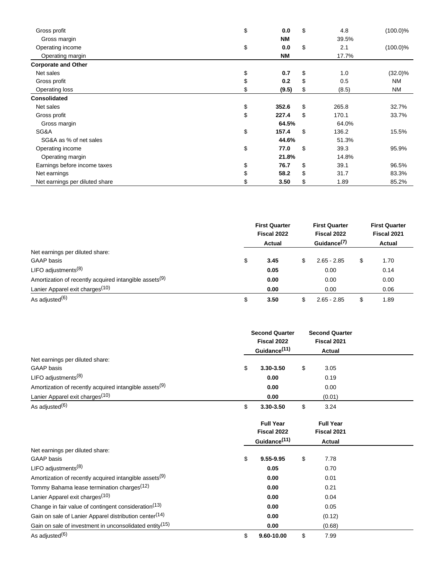| Gross profit                   | \$<br>0.0   | \$<br>4.8   | $(100.0)\%$ |
|--------------------------------|-------------|-------------|-------------|
| Gross margin                   | <b>NM</b>   | 39.5%       |             |
| Operating income               | \$<br>0.0   | \$<br>2.1   | $(100.0)\%$ |
| Operating margin               | <b>NM</b>   | 17.7%       |             |
| <b>Corporate and Other</b>     |             |             |             |
| Net sales                      | \$<br>0.7   | \$<br>1.0   | $(32.0)\%$  |
| Gross profit                   | \$<br>0.2   | \$<br>0.5   | ΝM          |
| Operating loss                 | \$<br>(9.5) | \$<br>(8.5) | <b>NM</b>   |
| <b>Consolidated</b>            |             |             |             |
| Net sales                      | \$<br>352.6 | \$<br>265.8 | 32.7%       |
| Gross profit                   | \$<br>227.4 | \$<br>170.1 | 33.7%       |
| Gross margin                   | 64.5%       | 64.0%       |             |
| SG&A                           | \$<br>157.4 | \$<br>136.2 | 15.5%       |
| SG&A as % of net sales         | 44.6%       | 51.3%       |             |
| Operating income               | \$<br>77.0  | \$<br>39.3  | 95.9%       |
| Operating margin               | 21.8%       | 14.8%       |             |
| Earnings before income taxes   | \$<br>76.7  | \$<br>39.1  | 96.5%       |
| Net earnings                   | \$<br>58.2  | \$<br>31.7  | 83.3%       |
| Net earnings per diluted share | 3.50        | \$<br>1.89  | 85.2%       |

|                                                                    |    | <b>First Quarter</b><br>Fiscal 2022<br>Actual | <b>First Quarter</b><br>Fiscal 2022<br>Guidance <sup>(7)</sup> |    | <b>First Quarter</b><br>Fiscal 2021<br>Actual |
|--------------------------------------------------------------------|----|-----------------------------------------------|----------------------------------------------------------------|----|-----------------------------------------------|
| Net earnings per diluted share:                                    |    |                                               |                                                                |    |                                               |
| <b>GAAP</b> basis                                                  | \$ | 3.45                                          | \$<br>$2.65 - 2.85$                                            | \$ | 1.70                                          |
| LIFO adjustments $(8)$                                             |    | 0.05                                          | 0.00                                                           |    | 0.14                                          |
| Amortization of recently acquired intangible assets <sup>(9)</sup> |    | 0.00                                          | 0.00                                                           |    | 0.00                                          |
| Lanier Apparel exit charges <sup>(10)</sup>                        |    | 0.00                                          | 0.00                                                           |    | 0.06                                          |
| As adjusted <sup>(6)</sup>                                         | S  | 3.50                                          | $2.65 - 2.85$                                                  | S  | 1.89                                          |

|                                                                     | <b>Second Quarter</b><br>Fiscal 2022<br>Guidance <sup>(11)</sup> | <b>Second Quarter</b><br>Fiscal 2021<br><b>Actual</b> |  |
|---------------------------------------------------------------------|------------------------------------------------------------------|-------------------------------------------------------|--|
| Net earnings per diluted share:                                     |                                                                  |                                                       |  |
| <b>GAAP</b> basis                                                   | \$<br>3.30-3.50                                                  | \$<br>3.05                                            |  |
| LIFO adjustments <sup>(8)</sup>                                     | 0.00                                                             | 0.19                                                  |  |
| Amortization of recently acquired intangible assets <sup>(9)</sup>  | 0.00                                                             | 0.00                                                  |  |
| Lanier Apparel exit charges <sup>(10)</sup>                         | 0.00                                                             | (0.01)                                                |  |
| As adjusted <sup>(6)</sup>                                          | \$<br>3.30-3.50                                                  | \$<br>3.24                                            |  |
|                                                                     | <b>Full Year</b>                                                 | <b>Full Year</b>                                      |  |
|                                                                     | Fiscal 2022                                                      | Fiscal 2021                                           |  |
|                                                                     | Guidance <sup>(11)</sup>                                         | Actual                                                |  |
| Net earnings per diluted share:                                     |                                                                  |                                                       |  |
| <b>GAAP</b> basis                                                   | \$<br>9.55-9.95                                                  | \$<br>7.78                                            |  |
| LIFO adjustments $(8)$                                              | 0.05                                                             | 0.70                                                  |  |
| Amortization of recently acquired intangible assets <sup>(9)</sup>  | 0.00                                                             | 0.01                                                  |  |
| Tommy Bahama lease termination charges <sup>(12)</sup>              | 0.00                                                             | 0.21                                                  |  |
| Lanier Apparel exit charges <sup>(10)</sup>                         | 0.00                                                             | 0.04                                                  |  |
| Change in fair value of contingent consideration <sup>(13)</sup>    | 0.00                                                             | 0.05                                                  |  |
| Gain on sale of Lanier Apparel distribution center <sup>(14)</sup>  | 0.00                                                             | (0.12)                                                |  |
| Gain on sale of investment in unconsolidated entity <sup>(15)</sup> | 0.00                                                             | (0.68)                                                |  |
| As adjusted <sup>(6)</sup>                                          | \$<br>9.60-10.00                                                 | \$<br>7.99                                            |  |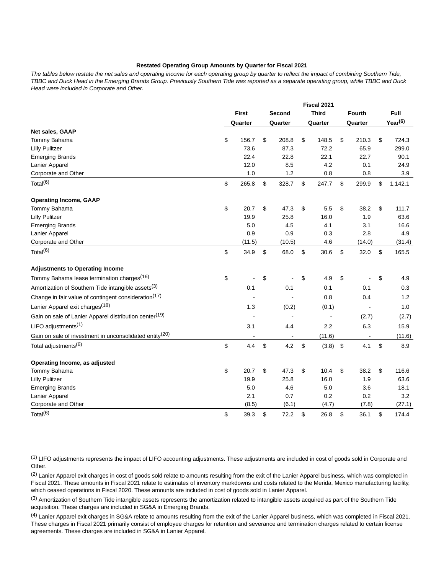## **Restated Operating Group Amounts by Quarter for Fiscal 2021**

The tables below restate the net sales and operating income for each operating group by quarter to reflect the impact of combining Southern Tide, TBBC and Duck Head in the Emerging Brands Group. Previously Southern Tide was reported as a separate operating group, while TBBC and Duck Head were included in Corporate and Other.

|                                                                     | Fiscal 2021  |                   |         |    |              |                            |               |                     |
|---------------------------------------------------------------------|--------------|-------------------|---------|----|--------------|----------------------------|---------------|---------------------|
|                                                                     | <b>First</b> |                   | Second  |    | <b>Third</b> |                            | <b>Fourth</b> | Full                |
|                                                                     | Quarter      |                   | Quarter |    | Quarter      |                            | Quarter       | Year <sup>(6)</sup> |
| Net sales, GAAP                                                     |              |                   |         |    |              |                            |               |                     |
| Tommy Bahama                                                        | \$<br>156.7  | \$                | 208.8   | \$ | 148.5        | \$                         | 210.3         | \$<br>724.3         |
| <b>Lilly Pulitzer</b>                                               | 73.6         |                   | 87.3    |    | 72.2         |                            | 65.9          | 299.0               |
| <b>Emerging Brands</b>                                              | 22.4         |                   | 22.8    |    | 22.1         |                            | 22.7          | 90.1                |
| Lanier Apparel                                                      | 12.0         |                   | 8.5     |    | 4.2          |                            | 0.1           | 24.9                |
| Corporate and Other                                                 | 1.0          |                   | 1.2     |    | 0.8          |                            | 0.8           | 3.9                 |
| Total $(6)$                                                         | \$<br>265.8  | \$                | 328.7   | \$ | 247.7        | \$                         | 299.9         | \$<br>1,142.1       |
| <b>Operating Income, GAAP</b>                                       |              |                   |         |    |              |                            |               |                     |
| Tommy Bahama                                                        | \$<br>20.7   | \$                | 47.3    | \$ | 5.5          | \$                         | 38.2          | \$<br>111.7         |
| <b>Lilly Pulitzer</b>                                               | 19.9         |                   | 25.8    |    | 16.0         |                            | 1.9           | 63.6                |
| <b>Emerging Brands</b>                                              | 5.0          |                   | 4.5     |    | 4.1          |                            | 3.1           | 16.6                |
| Lanier Apparel                                                      | 0.9          |                   | 0.9     |    | 0.3          |                            | 2.8           | 4.9                 |
| Corporate and Other                                                 | (11.5)       |                   | (10.5)  |    | 4.6          |                            | (14.0)        | (31.4)              |
| Total $(6)$                                                         | \$<br>34.9   | $\boldsymbol{\$}$ | 68.0    | \$ | 30.6         | \$                         | 32.0          | \$<br>165.5         |
| <b>Adjustments to Operating Income</b>                              |              |                   |         |    |              |                            |               |                     |
| Tommy Bahama lease termination charges <sup>(16)</sup>              | \$           | \$                |         | \$ | 4.9          | \$                         |               | \$<br>4.9           |
| Amortization of Southern Tide intangible assets <sup>(3)</sup>      | 0.1          |                   | 0.1     |    | 0.1          |                            | 0.1           | 0.3                 |
| Change in fair value of contingent consideration <sup>(17)</sup>    |              |                   |         |    | 0.8          |                            | 0.4           | 1.2                 |
| Lanier Apparel exit charges <sup>(18)</sup>                         | 1.3          |                   | (0.2)   |    | (0.1)        |                            |               | 1.0                 |
| Gain on sale of Lanier Apparel distribution center <sup>(19)</sup>  |              |                   |         |    |              |                            | (2.7)         | (2.7)               |
| LIFO adjustments <sup>(1)</sup>                                     | 3.1          |                   | 4.4     |    | 2.2          |                            | 6.3           | 15.9                |
| Gain on sale of investment in unconsolidated entity <sup>(20)</sup> |              |                   |         |    | (11.6)       |                            | ÷,            | (11.6)              |
| Total adjustments <sup>(6)</sup>                                    | \$<br>4.4    | \$                | 4.2     | \$ | (3.8)        | $\boldsymbol{\mathsf{\$}}$ | 4.1           | \$<br>8.9           |
| Operating Income, as adjusted                                       |              |                   |         |    |              |                            |               |                     |
| Tommy Bahama                                                        | \$<br>20.7   | \$                | 47.3    | \$ | 10.4         | \$                         | 38.2          | \$<br>116.6         |
| <b>Lilly Pulitzer</b>                                               | 19.9         |                   | 25.8    |    | 16.0         |                            | 1.9           | 63.6                |
| <b>Emerging Brands</b>                                              | 5.0          |                   | 4.6     |    | 5.0          |                            | 3.6           | 18.1                |
| Lanier Apparel                                                      | 2.1          |                   | 0.7     |    | 0.2          |                            | 0.2           | 3.2                 |
| Corporate and Other                                                 | (8.5)        |                   | (6.1)   |    | (4.7)        |                            | (7.8)         | (27.1)              |
| Total <sup>(6)</sup>                                                | \$<br>39.3   | \$                | 72.2    | \$ | 26.8         | \$                         | 36.1          | \$<br>174.4         |

(1) LIFO adjustments represents the impact of LIFO accounting adjustments. These adjustments are included in cost of goods sold in Corporate and Other.

<sup>(2)</sup> Lanier Apparel exit charges in cost of goods sold relate to amounts resulting from the exit of the Lanier Apparel business, which was completed in Fiscal 2021. These amounts in Fiscal 2021 relate to estimates of inventory markdowns and costs related to the Merida, Mexico manufacturing facility, which ceased operations in Fiscal 2020. These amounts are included in cost of goods sold in Lanier Apparel.

(3) Amortization of Southern Tide intangible assets represents the amortization related to intangible assets acquired as part of the Southern Tide acquisition. These charges are included in SG&A in Emerging Brands.

<sup>(4)</sup> Lanier Apparel exit charges in SG&A relate to amounts resulting from the exit of the Lanier Apparel business, which was completed in Fiscal 2021. These charges in Fiscal 2021 primarily consist of employee charges for retention and severance and termination charges related to certain license agreements. These charges are included in SG&A in Lanier Apparel.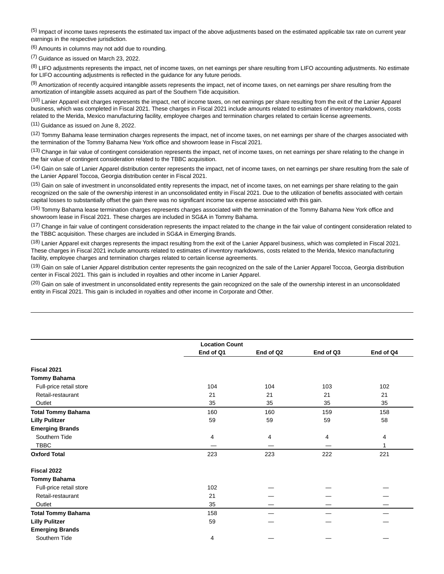<sup>(5)</sup> Impact of income taxes represents the estimated tax impact of the above adjustments based on the estimated applicable tax rate on current year earnings in the respective jurisdiction.

(6) Amounts in columns may not add due to rounding.

(7) Guidance as issued on March 23, 2022.

<sup>(8)</sup> LIFO adjustments represents the impact, net of income taxes, on net earnings per share resulting from LIFO accounting adjustments. No estimate for LIFO accounting adjustments is reflected in the guidance for any future periods.

(9) Amortization of recently acquired intangible assets represents the impact, net of income taxes, on net earnings per share resulting from the amortization of intangible assets acquired as part of the Southern Tide acquisition.

(10) Lanier Apparel exit charges represents the impact, net of income taxes, on net earnings per share resulting from the exit of the Lanier Apparel business, which was completed in Fiscal 2021. These charges in Fiscal 2021 include amounts related to estimates of inventory markdowns, costs related to the Merida, Mexico manufacturing facility, employee charges and termination charges related to certain license agreements.

(11) Guidance as issued on June 8, 2022.

(12) Tommy Bahama lease termination charges represents the impact, net of income taxes, on net earnings per share of the charges associated with the termination of the Tommy Bahama New York office and showroom lease in Fiscal 2021.

(13) Change in fair value of contingent consideration represents the impact, net of income taxes, on net earnings per share relating to the change in the fair value of contingent consideration related to the TBBC acquisition.

 $(14)$  Gain on sale of Lanier Apparel distribution center represents the impact, net of income taxes, on net earnings per share resulting from the sale of the Lanier Apparel Toccoa, Georgia distribution center in Fiscal 2021.

(15) Gain on sale of investment in unconsolidated entity represents the impact, net of income taxes, on net earnings per share relating to the gain recognized on the sale of the ownership interest in an unconsolidated entity in Fiscal 2021. Due to the utilization of benefits associated with certain capital losses to substantially offset the gain there was no significant income tax expense associated with this gain.

<sup>(16)</sup> Tommy Bahama lease termination charges represents charges associated with the termination of the Tommy Bahama New York office and showroom lease in Fiscal 2021. These charges are included in SG&A in Tommy Bahama.

 $(17)$  Change in fair value of contingent consideration represents the impact related to the change in the fair value of contingent consideration related to the TBBC acquisition. These charges are included in SG&A in Emerging Brands.

<sup>(18)</sup> Lanier Apparel exit charges represents the impact resulting from the exit of the Lanier Apparel business, which was completed in Fiscal 2021. These charges in Fiscal 2021 include amounts related to estimates of inventory markdowns, costs related to the Merida, Mexico manufacturing facility, employee charges and termination charges related to certain license agreements.

<sup>(19)</sup> Gain on sale of Lanier Apparel distribution center represents the gain recognized on the sale of the Lanier Apparel Toccoa, Georgia distribution center in Fiscal 2021. This gain is included in royalties and other income in Lanier Apparel.

 $<sup>(20)</sup>$  Gain on sale of investment in unconsolidated entity represents the gain recognized on the sale of the ownership interest in an unconsolidated</sup> entity in Fiscal 2021. This gain is included in royalties and other income in Corporate and Other.

|                           |           | <b>Location Count</b> |           |           |  |
|---------------------------|-----------|-----------------------|-----------|-----------|--|
|                           | End of Q1 | End of Q2             | End of Q3 | End of Q4 |  |
| Fiscal 2021               |           |                       |           |           |  |
| <b>Tommy Bahama</b>       |           |                       |           |           |  |
| Full-price retail store   | 104       | 104                   | 103       | 102       |  |
| Retail-restaurant         | 21        | 21                    | 21        | 21        |  |
| Outlet                    | 35        | 35                    | 35        | 35        |  |
| <b>Total Tommy Bahama</b> | 160       | 160                   | 159       | 158       |  |
| <b>Lilly Pulitzer</b>     | 59        | 59                    | 59        | 58        |  |
| <b>Emerging Brands</b>    |           |                       |           |           |  |
| Southern Tide             | 4         | 4                     | 4         | 4         |  |
| <b>TBBC</b>               |           |                       |           |           |  |
| <b>Oxford Total</b>       | 223       | 223                   | 222       | 221       |  |
| Fiscal 2022               |           |                       |           |           |  |
| <b>Tommy Bahama</b>       |           |                       |           |           |  |
| Full-price retail store   | 102       |                       |           |           |  |
| Retail-restaurant         | 21        |                       |           |           |  |
| Outlet                    | 35        |                       |           |           |  |
| <b>Total Tommy Bahama</b> | 158       |                       |           |           |  |
| <b>Lilly Pulitzer</b>     | 59        |                       |           |           |  |
| <b>Emerging Brands</b>    |           |                       |           |           |  |
| Southern Tide             | 4         |                       |           |           |  |
|                           |           |                       |           |           |  |